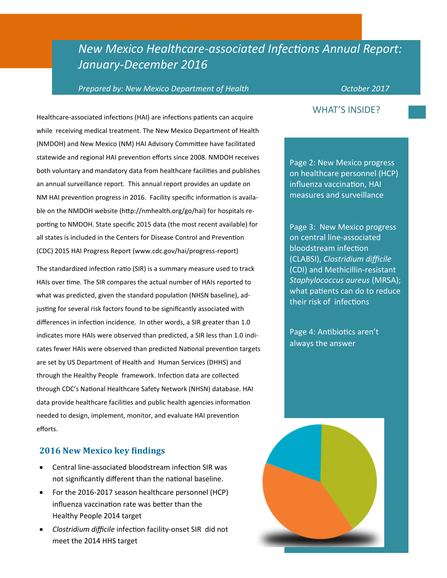# *New Mexico Healthcare-associated Infections Annual Report: January-December 2016*

#### *Prepared by: New Mexico Department of Health* Decrement October 2017

Healthcare-associated infections (HAI) are infections patients can acquire while receiving medical treatment. The New Mexico Department of Health (NMDOH) and New Mexico (NM) HAI Advisory Committee have facilitated statewide and regional HAI prevention efforts since 2008. NMDOH receives both voluntary and mandatory data from healthcare facilities and publishes an annual surveillance report. This annual report provides an update on NM HAI prevention progress in 2016. Facility specific information is available on the NMDOH website (http://nmhealth.org/go/hai) for hospitals reporting to NMDOH. State specific 2015 data (the most recent available) for all states is included in the Centers for Disease Control and Prevention (CDC) 2015 HAI Progress Report (www.cdc.gov/hai/progress-report)

The standardized infection ratio (SIR) is a summary measure used to track HAIs over time. The SIR compares the actual number of HAIs reported to what was predicted, given the standard population (NHSN baseline), adjusting for several risk factors found to be significantly associated with differences in infection incidence. In other words, a SIR greater than 1.0 indicates more HAIs were observed than predicted, a SIR less than 1.0 indicates fewer HAIs were observed than predicted National prevention targets are set by US Department of Health and Human Services (DHHS) and through the Healthy People framework. Infection data are collected through CDC's National Healthcare Safety Network (NHSN) database. HAI data provide healthcare facilities and public health agencies information needed to design, implement, monitor, and evaluate HAI prevention efforts.

#### **2016 New Mexico key findings**

- Central line-associated bloodstream infection SIR was not significantly different than the national baseline.
- For the 2016-2017 season healthcare personnel (HCP) influenza vaccination rate was better than the Healthy People 2014 target
- *Clostridium difficile* infection facility-onset SIR did not meet the 2014 HHS target

## WHAT'S INSIDE?

Page 2: New Mexico progress on healthcare personnel (HCP) influenza vaccination, HAI measures and surveillance

Page 3: New Mexico progress on central line-associated bloodstream infection (CLABSI), *Clostridium difficile*  (CDI) and Methicillin-resistant *Staphylococcus aureus* (MRSA); what patients can do to reduce their risk of infections

Page 4: Antibiotics aren't always the answer

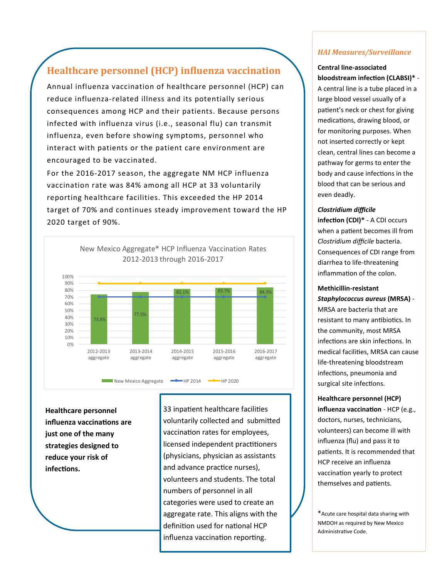## **Healthcare personnel (HCP) influenza vaccination**

Annual influenza vaccination of healthcare personnel (HCP) can reduce influenza-related illness and its potentially serious consequences among HCP and their patients. Because persons infected with influenza virus (i.e., seasonal flu) can transmit influenza, even before showing symptoms, personnel who interact with patients or the patient care environment are encouraged to be vaccinated.

For the 2016-2017 season, the aggregate NM HCP influenza vaccination rate was 84% among all HCP at 33 voluntarily reporting healthcare facilities. This exceeded the HP 2014 target of 70% and continues steady improvement toward the HP 2020 target of 90%.



**Healthcare personnel influenza vaccinations are just one of the many strategies designed to reduce your risk of infections.**

33 inpatient healthcare facilities voluntarily collected and submitted vaccination rates for employees, licensed independent practitioners (physicians, physician as assistants and advance practice nurses), volunteers and students. The total numbers of personnel in all categories were used to create an aggregate rate. This aligns with the definition used for national HCP influenza vaccination reporting.

### *HAI Measures/Surveillance*

#### **Central line-associated bloodstream infection (CLABSI)\*** -

A central line is a tube placed in a large blood vessel usually of a patient's neck or chest for giving medications, drawing blood, or for monitoring purposes. When not inserted correctly or kept clean, central lines can become a pathway for germs to enter the body and cause infections in the blood that can be serious and even deadly.

#### *Clostridium difficile*

**infection (CDI)\*** - A CDI occurs when a patient becomes ill from *Clostridium difficile* bacteria. Consequences of CDI range from diarrhea to life-threatening inflammation of the colon.

#### **Methicillin-resistant**

*Staphylococcus aureus* **(MRSA)** - MRSA are bacteria that are resistant to many antibiotics. In the community, most MRSA infections are skin infections. In medical facilities, MRSA can cause life-threatening bloodstream infections, pneumonia and surgical site infections.

## **Healthcare personnel (HCP) influenza vaccination** - HCP (e.g., doctors, nurses, technicians, volunteers) can become ill with influenza (flu) and pass it to patients. It is recommended that HCP receive an influenza vaccination yearly to protect themselves and patients.

\*Acute care hospital data sharing with NMDOH as required by New Mexico Administrative Code.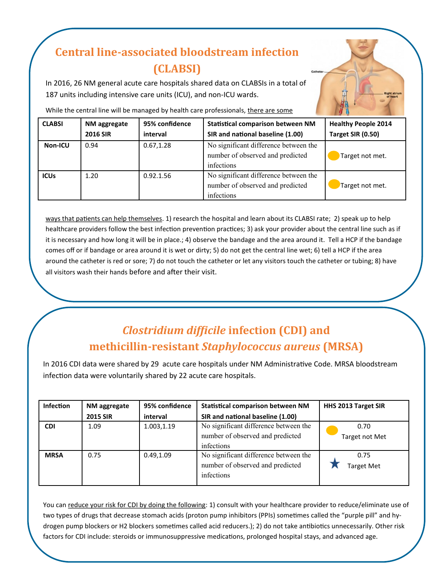# **Central line-associated bloodstream infection (CLABSI)**

In 2016, 26 NM general acute care hospitals shared data on CLABSIs in a total of 187 units including intensive care units (ICU), and non-ICU wards.

While the central line will be managed by health care professionals, there are some

| <b>CLABSI</b>  | NM aggregate    | 95% confidence | <b>Statistical comparison between NM</b>                                                | <b>Healthy People 2014</b> |
|----------------|-----------------|----------------|-----------------------------------------------------------------------------------------|----------------------------|
|                | <b>2016 SIR</b> | interval       | SIR and national baseline (1.00)                                                        | Target SIR (0.50)          |
| <b>Non-ICU</b> | 0.94            | 0.67, 1.28     | No significant difference between the<br>number of observed and predicted<br>infections | Target not met.            |
| <b>ICUs</b>    | 1.20            | 0.92.1.56      | No significant difference between the<br>number of observed and predicted<br>infections | Target not met.            |

ways that patients can help themselves. 1) research the hospital and learn about its CLABSI rate; 2) speak up to help healthcare providers follow the best infection prevention practices; 3) ask your provider about the central line such as if it is necessary and how long it will be in place.; 4) observe the bandage and the area around it. Tell a HCP if the bandage comes off or if bandage or area around it is wet or dirty; 5) do not get the central line wet; 6) tell a HCP if the area around the catheter is red or sore; 7) do not touch the catheter or let any visitors touch the catheter or tubing; 8) have all visitors wash their hands before and after their visit.

# *Clostridium difficile* **infection (CDI) and methicillin-resistant** *Staphylococcus aureus* **(MRSA)**

In 2016 CDI data were shared by 29 acute care hospitals under NM Administrative Code. MRSA bloodstream infection data were voluntarily shared by 22 acute care hospitals.

| <b>Infection</b> | NM aggregate    | 95% confidence | <b>Statistical comparison between NM</b>                                                | HHS 2013 Target SIR       |  |
|------------------|-----------------|----------------|-----------------------------------------------------------------------------------------|---------------------------|--|
|                  | <b>2015 SIR</b> | interval       | SIR and national baseline (1.00)                                                        |                           |  |
| <b>CDI</b>       | 1.09            | 1.003,1.19     | No significant difference between the<br>number of observed and predicted<br>infections | 0.70<br>Target not Met    |  |
| <b>MRSA</b>      | 0.75            | 0.49, 1.09     | No significant difference between the<br>number of observed and predicted<br>infections | 0.75<br><b>Target Met</b> |  |

You can reduce your risk for CDI by doing the following: 1) consult with your healthcare provider to reduce/eliminate use of two types of drugs that decrease stomach acids (proton pump inhibitors (PPIs) sometimes called the "purple pill" and hydrogen pump blockers or H2 blockers sometimes called acid reducers.); 2) do not take antibiotics unnecessarily. Other risk factors for CDI include: steroids or immunosuppressive medications, prolonged hospital stays, and advanced age.